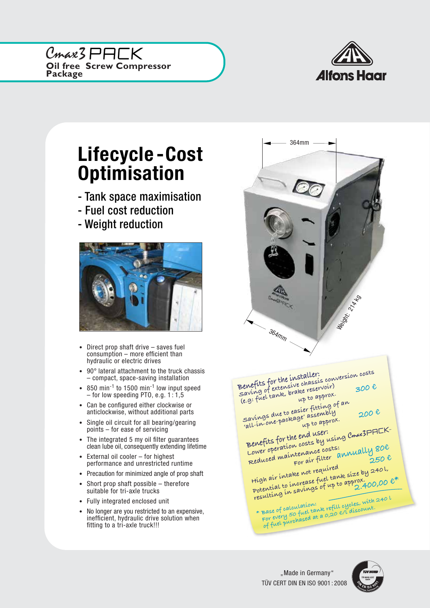**Oil free Screw Compressor Package** Cmax3PACK



## Lifecycle -Cost **Optimisation**

- Tank space maximisation
- Fuel cost reduction
- Weight reduction



- Direct prop shaft drive saves fuel consumption – more efficient than hydraulic or electric drives
- 90° lateral attachment to the truck chassis – compact, space-saving installation
- 850 min<sup>-1</sup> to 1500 min<sup>-1</sup> low input speed – for low speeding PTO, e.g.  $1:1,5$
- Can be configured either clockwise or anticlockwise, without additional parts
- Single oil circuit for all bearing/gearing points – for ease of servicing
- The integrated 5 my oil filter quarantees clean lube oil, consequently extending lifetime
- External oil cooler for highest performance and unrestricted runtime
- Precaution for minimized angle of prop shaft
- Short prop shaft possible therefore suitable for tri-axle trucks
- Fully integrated enclosed unit
- No longer are you restricted to an expensive, inefficient, hydraulic drive solution when fitting to a tri-axle truck!!!